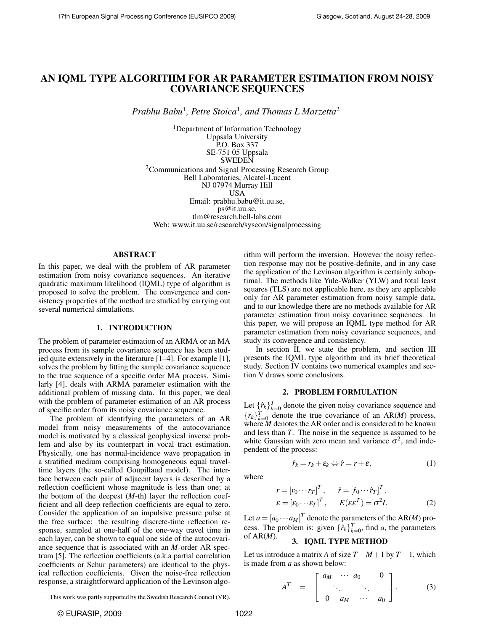# AN IQML TYPE ALGORITHM FOR AR PARAMETER ESTIMATION FROM NOISY COVARIANCE SEQUENCES

*Prabhu Babu*<sup>1</sup> *, Petre Stoica*<sup>1</sup> *, and Thomas L Marzetta*<sup>2</sup>

<sup>1</sup>Department of Information Technology Uppsala University P.O. Box 337 SE-751 05 Uppsala SWEDEN <sup>2</sup>Communications and Signal Processing Research Group Bell Laboratories, Alcatel-Lucent NJ 07974 Murray Hill USA Email: prabhu.babu@it.uu.se, ps@it.uu.se, tlm@research.bell-labs.com Web: www.it.uu.se/research/syscon/signalprocessing

# ABSTRACT

In this paper, we deal with the problem of AR parameter estimation from noisy covariance sequences. An iterative quadratic maximum likelihood (IQML) type of algorithm is proposed to solve the problem. The convergence and consistency properties of the method are studied by carrying out several numerical simulations.

# 1. INTRODUCTION

The problem of parameter estimation of an ARMA or an MA process from its sample covariance sequence has been studied quite extensively in the literature [1–4]. For example [1], solves the problem by fitting the sample covariance sequence to the true sequence of a specific order MA process. Similarly [4], deals with ARMA parameter estimation with the additional problem of missing data. In this paper, we deal with the problem of parameter estimation of an AR process of specific order from its noisy covariance sequence.

The problem of identifying the parameters of an AR model from noisy measurements of the autocovariance model is motivated by a classical geophysical inverse problem and also by its counterpart in vocal tract estimation. Physically, one has normal-incidence wave propagation in a stratified medium comprising homogeneous equal traveltime layers (the so-called Goupillaud model). The interface between each pair of adjacent layers is described by a reflection coefficient whose magnitude is less than one; at the bottom of the deepest (*M*-th) layer the reflection coefficient and all deep reflection coefficients are equal to zero. Consider the application of an impulsive pressure pulse at the free surface: the resulting discrete-time reflection response, sampled at one-half of the one-way travel time in each layer, can be shown to equal one side of the autocovariance sequence that is associated with an *M*-order AR spectrum [5]. The reflection coefficients (a.k.a partial correlation coefficients or Schur parameters) are identical to the physical reflection coefficients. Given the noise-free reflection response, a straightforward application of the Levinson algorithm will perform the inversion. However the noisy reflection response may not be positive-definite, and in any case the application of the Levinson algorithm is certainly suboptimal. The methods like Yule-Walker (YLW) and total least squares (TLS) are not applicable here, as they are applicable only for AR parameter estimation from noisy sample data, and to our knowledge there are no methods available for AR parameter estimation from noisy covariance sequences. In this paper, we will propose an IQML type method for AR parameter estimation from noisy covariance sequences, and study its convergence and consistency.

In section II, we state the problem, and section III presents the IQML type algorithm and its brief theoretical study. Section IV contains two numerical examples and section V draws some conclusions.

### 2. PROBLEM FORMULATION

Let  $\{\hat{r}_k\}_{k=0}^T$  denote the given noisy covariance sequence and  ${r_k}_{k=0}^T$  denote the true covariance of an AR(*M*) process, where *M* denotes the AR order and is considered to be known and less than *T*. The noise in the sequence is assumed to be white Gaussian with zero mean and variance  $\sigma^2$ , and independent of the process:

where

$$
\hat{r}_k = r_k + \varepsilon_k \Leftrightarrow \hat{r} = r + \varepsilon,\tag{1}
$$

$$
r = [r_0 \cdots r_T]^T, \quad \hat{r} = [\hat{r}_0 \cdots \hat{r}_T]^T, \n\epsilon = [\epsilon_0 \cdots \epsilon_T]^T, \quad E(\epsilon \epsilon^T) = \sigma^2 I.
$$
\n(2)

Let  $a = [a_0 \cdots a_M]^T$  denote the parameters of the AR(*M*) process. The problem is: given  $\{\hat{r}_k\}_{k=0}^T$ , find *a*, the parameters of AR(*M*). 3. IQML TYPE METHOD

Let us introduce a matrix *A* of size  $T - M + 1$  by  $T + 1$ , which is made from *a* as shown below:

$$
A^{T} = \begin{bmatrix} a_{M} & \cdots & a_{0} & 0 \\ \vdots & \vdots & \ddots & \vdots \\ 0 & a_{M} & \cdots & a_{0} \end{bmatrix}.
$$
 (3)

This work was partly supported by the Swedish Research Council (VR).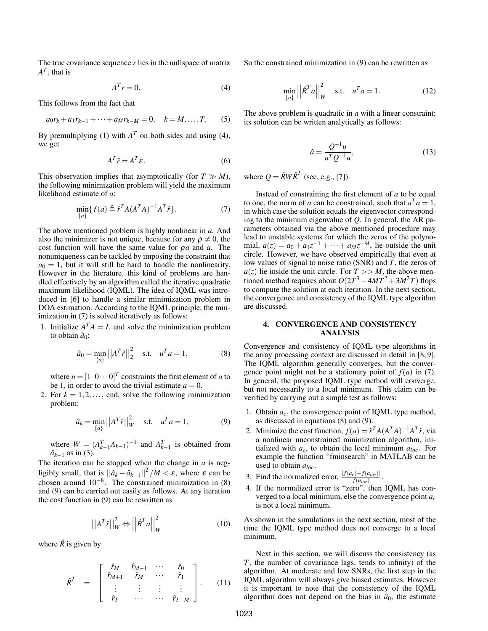The true covariance sequence  $r$  lies in the nullspace of matrix  $A^T$ , that is

$$
A^T r = 0. \tag{4}
$$

This follows from the fact that

$$
a_0r_k + a_1r_{k-1} + \dots + a_Mr_{k-M} = 0, \quad k = M, \dots, T. \tag{5}
$$

By premultiplying (1) with  $A<sup>T</sup>$  on both sides and using (4), we get

$$
A^T \hat{r} = A^T \varepsilon. \tag{6}
$$

This observation implies that asymptotically (for  $T \gg M$ ), the following minimization problem will yield the maximum likelihood estimate of *a*:

$$
\min_{\{a\}} \{f(a) \triangleq \hat{r}^T A (A^T A)^{-1} A^T \hat{r} \}.
$$
\n(7)

The above mentioned problem is highly nonlinear in *a*. And also the minimizer is not unique, because for any  $\rho \neq 0$ , the cost function will have the same value for ρ*a* and *a*. The nonuniqueness can be tackled by imposing the constraint that  $a_0 = 1$ , but it will still be hard to handle the nonlinearity. However in the literature, this kind of problems are handled effectively by an algorithm called the iterative quadratic maximum likelihood (IQML). The idea of IQML was introduced in [6] to handle a similar minimization problem in DOA estimation. According to the IQML principle, the minimization in (7) is solved iteratively as follows:

1. Initialize  $A<sup>T</sup>A = I$ , and solve the minimization problem to obtain  $\hat{a}_0$ :

$$
\hat{a}_0 = \min_{\{a\}} ||A^T \hat{r}||_2^2
$$
 s.t.  $u^T a = 1$ , (8)

where  $u = \begin{bmatrix} 1 & 0 \cdots 0 \end{bmatrix}^T$  constraints the first element of *a* to be 1, in order to avoid the trivial estimate  $a = 0$ .

2. For  $k = 1, 2, \ldots$ , end, solve the following minimization problem:

$$
\hat{a}_k = \min_{\{a\}} ||A^T \hat{r}||_W^2 \quad \text{s.t.} \quad u^T a = 1,
$$
 (9)

where  $W = (A_{k-1}^T A_{k-1})^{-1}$  and  $A_{k-1}^T$  is obtained from  $\hat{a}_{k-1}$  as in (3).

The iteration can be stopped when the change in *a* is negligibly small, that is  $||\hat{a}_k - \hat{a}_{k-1}||^2 / M < \varepsilon$ , where  $\varepsilon$  can be chosen around  $10^{-8}$ . The constrained minimization in (8) and (9) can be carried out easily as follows. At any iteration the cost function in (9) can be rewritten as

$$
\left| \left| A^T \hat{r} \right| \right|_W^2 \Leftrightarrow \left| \left| \hat{R}^T a \right| \right|_W^2 \tag{10}
$$

where  $\hat{R}$  is given by

$$
\hat{R}^T = \begin{bmatrix} \hat{r}_M & \hat{r}_{M-1} & \cdots & \hat{r}_0 \\ \hat{r}_{M+1} & \hat{r}_M & \cdots & \hat{r}_1 \\ \vdots & \vdots & \vdots & \vdots \\ \hat{r}_T & \cdots & \cdots & \hat{r}_{T-M} \end{bmatrix} . \qquad (11)
$$

So the constrained minimization in (9) can be rewritten as

$$
\min_{\{a\}} \left| \left| \hat{\mathcal{R}}^T a \right| \right|_W^2 \quad \text{s.t.} \quad u^T a = 1. \tag{12}
$$

The above problem is quadratic in *a* with a linear constraint; its solution can be written analytically as follows:

$$
\hat{a} = \frac{Q^{-1}u}{u^T Q^{-1}u},
$$
\n(13)

where  $Q = \hat{R}W\hat{R}^T$  (see, e.g., [7]).

Instead of constraining the first element of *a* to be equal to one, the norm of *a* can be constrained, such that  $a^T a = 1$ , in which case the solution equals the eigenvector corresponding to the minimum eigenvalue of *Q*. In general, the AR parameters obtained via the above mentioned procedure may lead to unstable systems for which the zeros of the polynomial,  $a(z) = a_0 + a_1 z^{-1} + \cdots + a_M z^{-M}$ , lie outside the unit circle. However, we have observed empirically that even at low values of signal to noise ratio (SNR) and *T*, the zeros of  $a(z)$  lie inside the unit circle. For  $T >> M$ , the above mentioned method requires about  $O(2T^3 - 4MT^2 + 3M^2T)$  flops to compute the solution at each iteration. In the next section, the convergence and consistency of the IQML type algorithm are discussed.

# 4. CONVERGENCE AND CONSISTENCY ANALYSIS

Convergence and consistency of IQML type algorithms in the array processing context are discussed in detail in [8, 9]. The IQML algorithm generally converges, but the convergence point might not be a stationary point of  $f(a)$  in (7). In general, the proposed IQML type method will converge, but not necessarily to a local minimum. This claim can be verified by carrying out a simple test as follows:

- 1. Obtain  $a_c$ , the convergence point of IQML type method, as discussed in equations (8) and (9).
- 2. Minimize the cost function,  $f(a) = \hat{r}^T A (A^T A)^{-1} A^T \hat{r}$ , via a nonlinear unconstrained minimization algorithm, initialized with  $a_c$ , to obtain the local minimum  $a_{loc}$ . For example the function "fminsearch" in MATLAB can be used to obtain *aloc*.
- 3. Find the normalized error,  $\frac{|f(a_c) f(a_{loc})|}{f(a_{loc})}$ .
- 4. If the normalized error is "zero", then IQML has converged to a local minimum, else the convergence point *a<sup>c</sup>* is not a local minimum.

As shown in the simulations in the next section, most of the time the IQML type method does not converge to a local minimum.

Next in this section, we will discuss the consistency (as *T*, the number of covariance lags, tends to infinity) of the algorithm. At moderate and low SNRs, the first step in the IQML algorithm will always give biased estimates. However it is important to note that the consistency of the IQML algorithm does not depend on the bias in  $\hat{a}_0$ , the estimate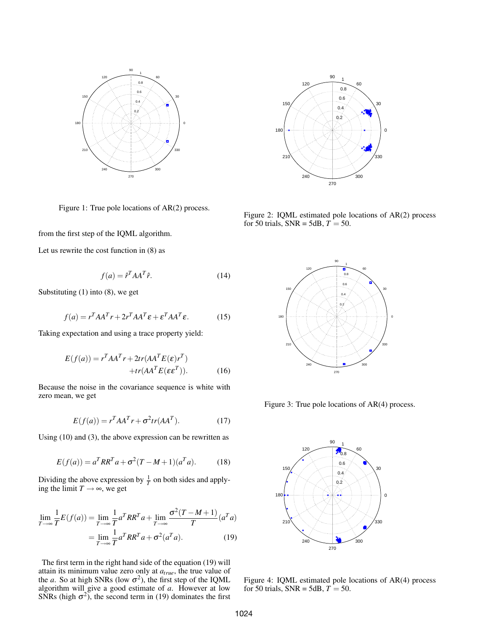

Figure 1: True pole locations of AR(2) process.

from the first step of the IQML algorithm.

Let us rewrite the cost function in (8) as

$$
f(a) = \hat{r}^T A A^T \hat{r}.
$$
 (14)

Substituting (1) into (8), we get

$$
f(a) = r^T A A^T r + 2r^T A A^T \varepsilon + \varepsilon^T A A^T \varepsilon.
$$
 (15)

Taking expectation and using a trace property yield:

$$
E(f(a)) = rT A AT r + 2tr(A AT E(\varepsilon) rT) + tr(A AT E(\varepsilon \varepsilonT)).
$$
 (16)

Because the noise in the covariance sequence is white with zero mean, we get

$$
E(f(a)) = rT A AT r + \sigma2 tr(A AT). \qquad (17)
$$

Using (10) and (3), the above expression can be rewritten as

$$
E(f(a)) = a^T R R^T a + \sigma^2 (T - M + 1)(a^T a).
$$
 (18)

Dividing the above expression by  $\frac{1}{T}$  on both sides and applying the limit  $T \rightarrow \infty$ , we get

$$
\lim_{T \to \infty} \frac{1}{T} E(f(a)) = \lim_{T \to \infty} \frac{1}{T} a^T R R^T a + \lim_{T \to \infty} \frac{\sigma^2 (T - M + 1)}{T} (a^T a)
$$

$$
= \lim_{T \to \infty} \frac{1}{T} a^T R R^T a + \sigma^2 (a^T a). \tag{19}
$$

The first term in the right hand side of the equation (19) will attain its minimum value zero only at *atrue*, the true value of the *a*. So at high SNRs (low  $\sigma^2$ ), the first step of the IQML algorithm will give a good estimate of *a*. However at low SNRs (high  $\sigma^2$ ), the second term in (19) dominates the first



Figure 2: IQML estimated pole locations of AR(2) process for 50 trials,  $SNR = 5dB$ ,  $T = 50$ .



Figure 3: True pole locations of AR(4) process.



Figure 4: IQML estimated pole locations of AR(4) process for 50 trials,  $SNR = 5dB$ ,  $T = 50$ .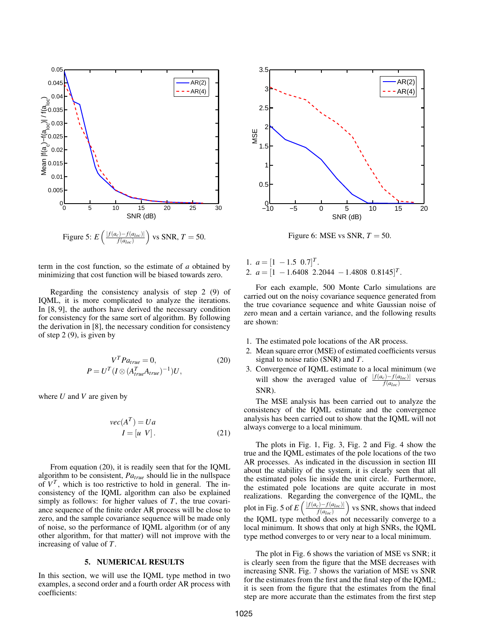

term in the cost function, so the estimate of *a* obtained by minimizing that cost function will be biased towards zero.

Regarding the consistency analysis of step 2 (9) of IQML, it is more complicated to analyze the iterations. In [8, 9], the authors have derived the necessary condition for consistency for the same sort of algorithm. By following the derivation in [8], the necessary condition for consistency of step 2 (9), is given by

$$
V^T P a_{true} = 0,
$$
\n
$$
P = U^T (I \otimes (A_{true}^T A_{true})^{-1}) U,
$$
\n(20)

where *U* and *V* are given by

$$
vec(AT) = Ua
$$
  
\n
$$
I = [u \ V].
$$
 (21)

From equation (20), it is readily seen that for the IQML algorithm to be consistent, *Patrue* should lie in the nullspace of  $V^T$ , which is too restrictive to hold in general. The inconsistency of the IQML algorithm can also be explained simply as follows: for higher values of *T*, the true covariance sequence of the finite order AR process will be close to zero, and the sample covariance sequence will be made only of noise, so the performance of IQML algorithm (or of any other algorithm, for that matter) will not improve with the increasing of value of *T*.

## 5. NUMERICAL RESULTS

In this section, we will use the IQML type method in two examples, a second order and a fourth order AR process with coefficients:



Figure 6: MSE vs SNR,  $T = 50$ .

1.  $a = [1 - 1.5 \ 0.7]^T$ . 2.  $a = [1 - 1.6408 \space 2.2044 - 1.4808 \space 0.8145]^T$ .

For each example, 500 Monte Carlo simulations are carried out on the noisy covariance sequence generated from the true covariance sequence and white Gaussian noise of zero mean and a certain variance, and the following results are shown:

- 1. The estimated pole locations of the AR process.
- 2. Mean square error (MSE) of estimated coefficients versus signal to noise ratio (SNR) and *T*.
- 3. Convergence of IQML estimate to a local minimum (we will show the averaged value of  $\frac{|f(a_c)-f(a_{loc})|}{f(a_{loc})}$  versus SNR).

The MSE analysis has been carried out to analyze the consistency of the IQML estimate and the convergence analysis has been carried out to show that the IQML will not always converge to a local minimum.

The plots in Fig. 1, Fig. 3, Fig. 2 and Fig. 4 show the true and the IQML estimates of the pole locations of the two AR processes. As indicated in the discussion in section III about the stability of the system, it is clearly seen that all the estimated poles lie inside the unit circle. Furthermore, the estimated pole locations are quite accurate in most realizations. Regarding the convergence of the IQML, the plot in Fig. 5 of  $E\left(\frac{|f(a_c)-f(a_{loc})|}{f(a_c)}\right)$  $\frac{f(z)-f(a_{loc})}{f(a_{loc})}$  vs SNR, shows that indeed the IQML type method does not necessarily converge to a local minimum. It shows that only at high SNRs, the IQML type method converges to or very near to a local minimum.

The plot in Fig. 6 shows the variation of MSE vs SNR; it is clearly seen from the figure that the MSE decreases with increasing SNR. Fig. 7 shows the variation of MSE vs SNR for the estimates from the first and the final step of the IQML; it is seen from the figure that the estimates from the final step are more accurate than the estimates from the first step